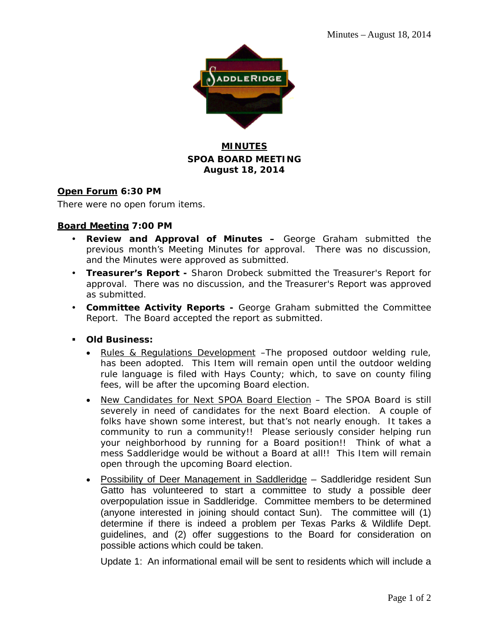

### **MINUTES SPOA BOARD MEETING August 18, 2014**

### **Open Forum 6:30 PM**

There were no open forum items.

### **Board Meeting 7:00 PM**

- **Review and Approval of Minutes –** George Graham submitted the previous month's Meeting Minutes for approval. There was no discussion, and the Minutes were approved as submitted.
- **Treasurer's Report** Sharon Drobeck submitted the Treasurer's Report for approval. There was no discussion, and the Treasurer's Report was approved as submitted.
- **Committee Activity Reports** George Graham submitted the Committee Report. The Board accepted the report as submitted.
- **Old Business:** 
	- Rules & Regulations Development –The proposed outdoor welding rule, has been adopted. This Item will remain open until the outdoor welding rule language is filed with Hays County; which, to save on county filing fees, will be after the upcoming Board election.
	- New Candidates for Next SPOA Board Election The SPOA Board is still severely in need of candidates for the next Board election. A couple of folks have shown some interest, but that's not nearly enough. It takes a community to run a community!! Please seriously consider helping run your neighborhood by running for a Board position!! Think of what a mess Saddleridge would be without a Board at all!! This Item will remain open through the upcoming Board election.
	- Possibility of Deer Management in Saddleridge Saddleridge resident Sun Gatto has volunteered to start a committee to study a possible deer overpopulation issue in Saddleridge. Committee members to be determined (anyone interested in joining should contact Sun). The committee will (1) determine if there is indeed a problem per Texas Parks & Wildlife Dept. guidelines, and (2) offer suggestions to the Board for consideration on possible actions which could be taken.

Update 1: An informational email will be sent to residents which will include a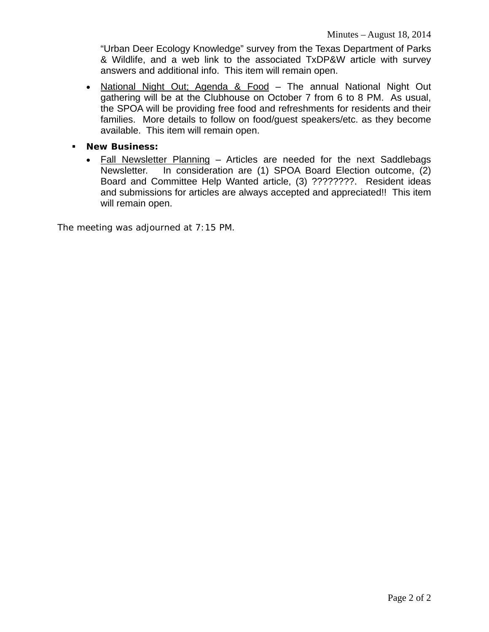"Urban Deer Ecology Knowledge" survey from the Texas Department of Parks & Wildlife, and a web link to the associated TxDP&W article with survey answers and additional info. This item will remain open.

- National Night Out; Agenda & Food The annual National Night Out gathering will be at the Clubhouse on October 7 from 6 to 8 PM. As usual, the SPOA will be providing free food and refreshments for residents and their families. More details to follow on food/guest speakers/etc. as they become available. This item will remain open.
- **New Business:**
	- Fall Newsletter Planning Articles are needed for the next Saddlebags Newsletter. In consideration are (1) SPOA Board Election outcome, (2) Board and Committee Help Wanted article, (3) ????????. Resident ideas and submissions for articles are always accepted and appreciated!! This item will remain open.

The meeting was adjourned at 7:15 PM.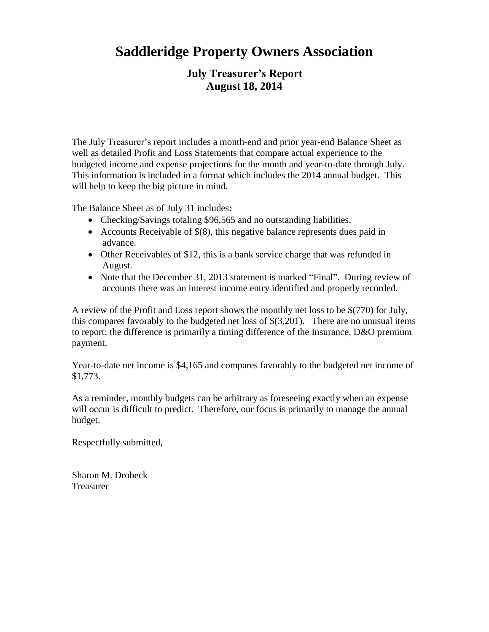# **Saddleridge Property Owners Association**

## **July Treasurer's Report August 18, 2014**

The July Treasurer's report includes a month-end and prior year-end Balance Sheet as well as detailed Profit and Loss Statements that compare actual experience to the budgeted income and expense projections for the month and year-to-date through July. This information is included in a format which includes the 2014 annual budget. This will help to keep the big picture in mind.

The Balance Sheet as of July 31 includes:

- Checking/Savings totaling \$96,565 and no outstanding liabilities.
- Accounts Receivable of \$(8), this negative balance represents dues paid in advance.
- Other Receivables of \$12, this is a bank service charge that was refunded in August.
- Note that the December 31, 2013 statement is marked "Final". During review of accounts there was an interest income entry identified and properly recorded.

A review of the Profit and Loss report shows the monthly net loss to be \$(770) for July, this compares favorably to the budgeted net loss of \$(3,201). There are no unusual items to report; the difference is primarily a timing difference of the Insurance, D&O premium payment.

Year-to-date net income is \$4,165 and compares favorably to the budgeted net income of \$1,773.

As a reminder, monthly budgets can be arbitrary as foreseeing exactly when an expense will occur is difficult to predict. Therefore, our focus is primarily to manage the annual budget.

Respectfully submitted,

Sharon M. Drobeck Treasurer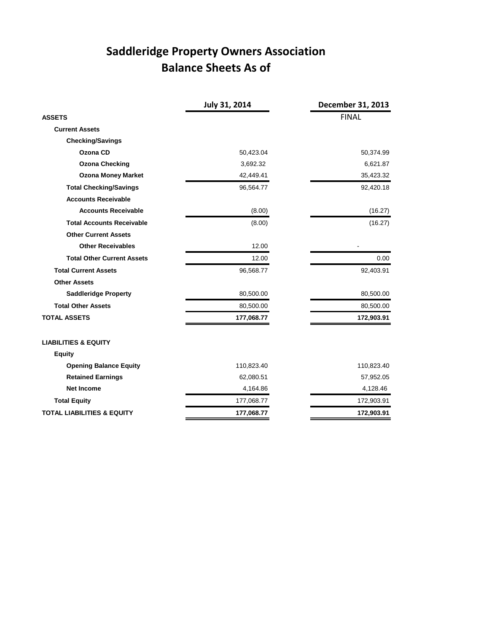# **Saddleridge Property Owners Association Balance Sheets As of**

|                                       | July 31, 2014 | December 31, 2013 |
|---------------------------------------|---------------|-------------------|
| <b>ASSETS</b>                         |               | <b>FINAL</b>      |
| <b>Current Assets</b>                 |               |                   |
| <b>Checking/Savings</b>               |               |                   |
| Ozona CD                              | 50,423.04     | 50,374.99         |
| <b>Ozona Checking</b>                 | 3,692.32      | 6,621.87          |
| <b>Ozona Money Market</b>             | 42,449.41     | 35,423.32         |
| <b>Total Checking/Savings</b>         | 96,564.77     | 92,420.18         |
| <b>Accounts Receivable</b>            |               |                   |
| <b>Accounts Receivable</b>            | (8.00)        | (16.27)           |
| <b>Total Accounts Receivable</b>      | (8.00)        | (16.27)           |
| <b>Other Current Assets</b>           |               |                   |
| <b>Other Receivables</b>              | 12.00         |                   |
| <b>Total Other Current Assets</b>     | 12.00         | 0.00              |
| <b>Total Current Assets</b>           | 96,568.77     | 92,403.91         |
| <b>Other Assets</b>                   |               |                   |
| <b>Saddleridge Property</b>           | 80,500.00     | 80,500.00         |
| <b>Total Other Assets</b>             | 80,500.00     | 80,500.00         |
| <b>TOTAL ASSETS</b>                   | 177,068.77    | 172,903.91        |
| <b>LIABILITIES &amp; EQUITY</b>       |               |                   |
| <b>Equity</b>                         |               |                   |
| <b>Opening Balance Equity</b>         | 110,823.40    | 110,823.40        |
| <b>Retained Earnings</b>              | 62,080.51     | 57,952.05         |
| <b>Net Income</b>                     | 4,164.86      | 4,128.46          |
| <b>Total Equity</b>                   | 177,068.77    | 172,903.91        |
| <b>TOTAL LIABILITIES &amp; EQUITY</b> | 177,068.77    | 172,903.91        |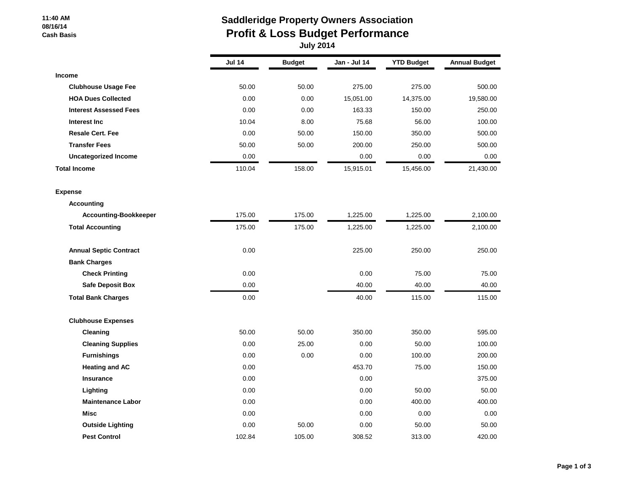#### **11:40 AM 08/16/14 Cash Basis**

# **Saddleridge Property Owners Association Profit & Loss Budget Performance**

 **July 2014**

|                               | <b>Jul 14</b> | <b>Budget</b> | Jan - Jul 14 | <b>YTD Budget</b> | <b>Annual Budget</b> |
|-------------------------------|---------------|---------------|--------------|-------------------|----------------------|
| <b>Income</b>                 |               |               |              |                   |                      |
| <b>Clubhouse Usage Fee</b>    | 50.00         | 50.00         | 275.00       | 275.00            | 500.00               |
| <b>HOA Dues Collected</b>     | 0.00          | 0.00          | 15,051.00    | 14,375.00         | 19,580.00            |
| <b>Interest Assessed Fees</b> | 0.00          | 0.00          | 163.33       | 150.00            | 250.00               |
| Interest Inc                  | 10.04         | 8.00          | 75.68        | 56.00             | 100.00               |
| <b>Resale Cert. Fee</b>       | 0.00          | 50.00         | 150.00       | 350.00            | 500.00               |
| <b>Transfer Fees</b>          | 50.00         | 50.00         | 200.00       | 250.00            | 500.00               |
| <b>Uncategorized Income</b>   | 0.00          |               | 0.00         | 0.00              | 0.00                 |
| <b>Total Income</b>           | 110.04        | 158.00        | 15,915.01    | 15,456.00         | 21,430.00            |
| <b>Expense</b>                |               |               |              |                   |                      |
| <b>Accounting</b>             |               |               |              |                   |                      |
| <b>Accounting-Bookkeeper</b>  | 175.00        | 175.00        | 1,225.00     | 1,225.00          | 2,100.00             |
| <b>Total Accounting</b>       | 175.00        | 175.00        | 1,225.00     | 1,225.00          | 2,100.00             |
| <b>Annual Septic Contract</b> | 0.00          |               | 225.00       | 250.00            | 250.00               |
| <b>Bank Charges</b>           |               |               |              |                   |                      |
| <b>Check Printing</b>         | 0.00          |               | 0.00         | 75.00             | 75.00                |
| <b>Safe Deposit Box</b>       | 0.00          |               | 40.00        | 40.00             | 40.00                |
| <b>Total Bank Charges</b>     | 0.00          |               | 40.00        | 115.00            | 115.00               |
| <b>Clubhouse Expenses</b>     |               |               |              |                   |                      |
| Cleaning                      | 50.00         | 50.00         | 350.00       | 350.00            | 595.00               |
| <b>Cleaning Supplies</b>      | 0.00          | 25.00         | 0.00         | 50.00             | 100.00               |
| <b>Furnishings</b>            | 0.00          | 0.00          | 0.00         | 100.00            | 200.00               |
| <b>Heating and AC</b>         | 0.00          |               | 453.70       | 75.00             | 150.00               |
| <b>Insurance</b>              | 0.00          |               | 0.00         |                   | 375.00               |
| Lighting                      | 0.00          |               | 0.00         | 50.00             | 50.00                |
| <b>Maintenance Labor</b>      | 0.00          |               | 0.00         | 400.00            | 400.00               |
| <b>Misc</b>                   | 0.00          |               | 0.00         | 0.00              | 0.00                 |
| <b>Outside Lighting</b>       | 0.00          | 50.00         | 0.00         | 50.00             | 50.00                |
| <b>Pest Control</b>           | 102.84        | 105.00        | 308.52       | 313.00            | 420.00               |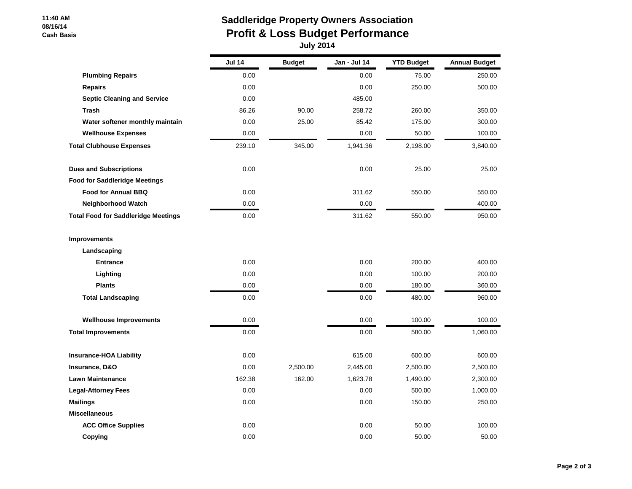#### **11:40 AM 08/16/14 Cash Basis**

## **Saddleridge Property Owners Association Profit & Loss Budget Performance July 2014**

|                                            | <b>Jul 14</b> | <b>Budget</b> | Jan - Jul 14 | <b>YTD Budget</b> | <b>Annual Budget</b> |
|--------------------------------------------|---------------|---------------|--------------|-------------------|----------------------|
| <b>Plumbing Repairs</b>                    | 0.00          |               | 0.00         | 75.00             | 250.00               |
| <b>Repairs</b>                             | 0.00          |               | 0.00         | 250.00            | 500.00               |
| <b>Septic Cleaning and Service</b>         | 0.00          |               | 485.00       |                   |                      |
| Trash                                      | 86.26         | 90.00         | 258.72       | 260.00            | 350.00               |
| Water softener monthly maintain            | 0.00          | 25.00         | 85.42        | 175.00            | 300.00               |
| <b>Wellhouse Expenses</b>                  | 0.00          |               | 0.00         | 50.00             | 100.00               |
| <b>Total Clubhouse Expenses</b>            | 239.10        | 345.00        | 1,941.36     | 2,198.00          | 3,840.00             |
| <b>Dues and Subscriptions</b>              | 0.00          |               | 0.00         | 25.00             | 25.00                |
| <b>Food for Saddleridge Meetings</b>       |               |               |              |                   |                      |
| <b>Food for Annual BBQ</b>                 | 0.00          |               | 311.62       | 550.00            | 550.00               |
| <b>Neighborhood Watch</b>                  | 0.00          |               | 0.00         |                   | 400.00               |
| <b>Total Food for Saddleridge Meetings</b> | 0.00          |               | 311.62       | 550.00            | 950.00               |
| Improvements                               |               |               |              |                   |                      |
| Landscaping                                |               |               |              |                   |                      |
| <b>Entrance</b>                            | 0.00          |               | 0.00         | 200.00            | 400.00               |
| Lighting                                   | 0.00          |               | 0.00         | 100.00            | 200.00               |
| <b>Plants</b>                              | 0.00          |               | 0.00         | 180.00            | 360.00               |
| <b>Total Landscaping</b>                   | 0.00          |               | 0.00         | 480.00            | 960.00               |
| <b>Wellhouse Improvements</b>              | 0.00          |               | 0.00         | 100.00            | 100.00               |
| <b>Total Improvements</b>                  | 0.00          |               | 0.00         | 580.00            | 1,060.00             |
| <b>Insurance-HOA Liability</b>             | 0.00          |               | 615.00       | 600.00            | 600.00               |
| Insurance, D&O                             | 0.00          | 2,500.00      | 2,445.00     | 2,500.00          | 2,500.00             |
| <b>Lawn Maintenance</b>                    | 162.38        | 162.00        | 1,623.78     | 1,490.00          | 2,300.00             |
| <b>Legal-Attorney Fees</b>                 | 0.00          |               | 0.00         | 500.00            | 1,000.00             |
| <b>Mailings</b>                            | 0.00          |               | 0.00         | 150.00            | 250.00               |
| <b>Miscellaneous</b>                       |               |               |              |                   |                      |
| <b>ACC Office Supplies</b>                 | 0.00          |               | 0.00         | 50.00             | 100.00               |
| Copying                                    | 0.00          |               | 0.00         | 50.00             | 50.00                |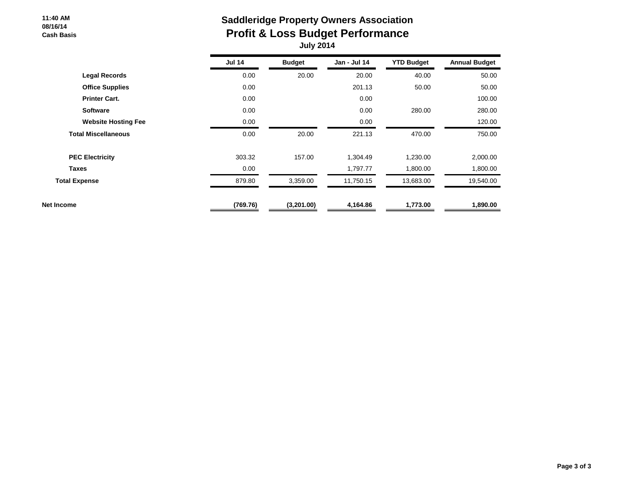#### **11:40 AM 08/16/14 Cash Basis**

## **Saddleridge Property Owners Association Profit & Loss Budget Performance July 2014**

|                            | <b>Jul 14</b> | <b>Budget</b> | Jan - Jul 14 | <b>YTD Budget</b> | <b>Annual Budget</b> |
|----------------------------|---------------|---------------|--------------|-------------------|----------------------|
| <b>Legal Records</b>       | 0.00          | 20.00         | 20.00        | 40.00             | 50.00                |
| <b>Office Supplies</b>     | 0.00          |               | 201.13       | 50.00             | 50.00                |
| <b>Printer Cart.</b>       | 0.00          |               | 0.00         |                   | 100.00               |
| <b>Software</b>            | 0.00          |               | 0.00         | 280.00            | 280.00               |
| <b>Website Hosting Fee</b> | 0.00          |               | 0.00         |                   | 120.00               |
| <b>Total Miscellaneous</b> | 0.00          | 20.00         | 221.13       | 470.00            | 750.00               |
| <b>PEC Electricity</b>     | 303.32        | 157.00        | 1,304.49     | 1,230.00          | 2,000.00             |
| <b>Taxes</b>               | 0.00          |               | 1,797.77     | 1,800.00          | 1,800.00             |
| <b>Total Expense</b>       | 879.80        | 3,359.00      | 11,750.15    | 13,683.00         | 19,540.00            |
| Net Income                 | (769.76)      | (3,201.00)    | 4,164.86     | 1,773.00          | 1,890.00             |